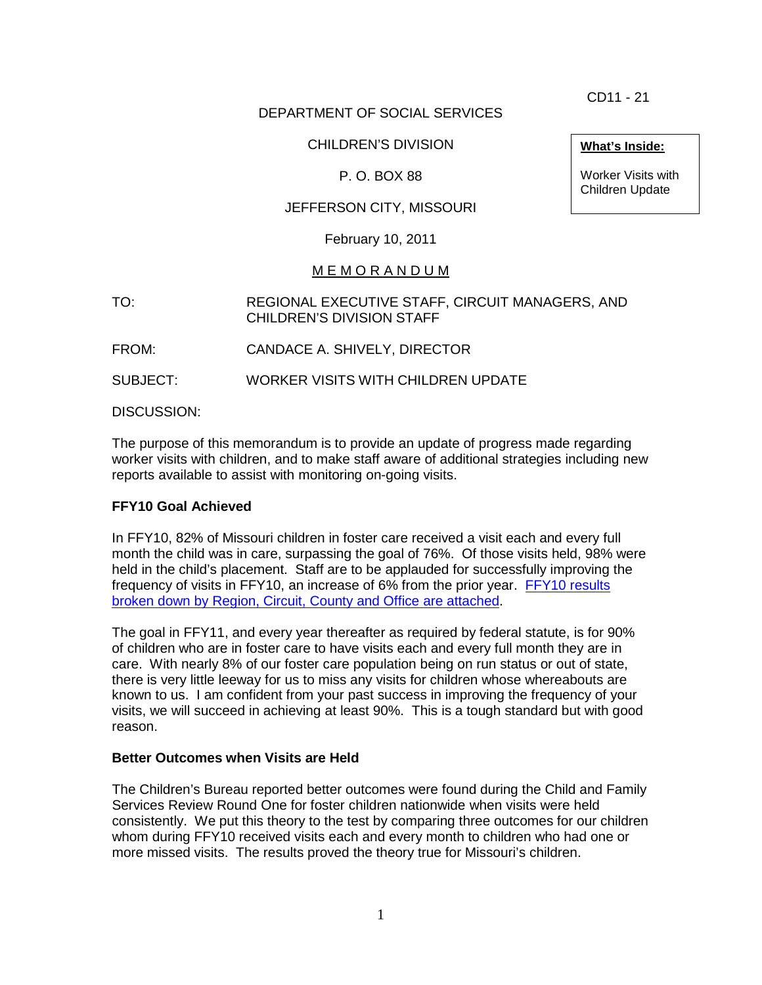CD11 - 21

# DEPARTMENT OF SOCIAL SERVICES

## CHILDREN'S DIVISION

## P. O. BOX 88

# JEFFERSON CITY, MISSOURI

February 10, 2011

### M E M O R A N D U M

TO: REGIONAL EXECUTIVE STAFF, CIRCUIT MANAGERS, AND CHILDREN'S DIVISION STAFF

FROM: CANDACE A. SHIVELY, DIRECTOR

SUBJECT: WORKER VISITS WITH CHILDREN UPDATE

DISCUSSION:

The purpose of this memorandum is to provide an update of progress made regarding worker visits with children, and to make staff aware of additional strategies including new reports available to assist with monitoring on-going visits.

### **FFY10 Goal Achieved**

In FFY10, 82% of Missouri children in foster care received a visit each and every full month the child was in care, surpassing the goal of 76%. Of those visits held, 98% were held in the child's placement. Staff are to be applauded for successfully improving the frequency of visits in FFY10, an increase of 6% from the prior year. [FFY10 results](http://www.dss.mo.gov/cd/info/memos/2011/cd11-021att.pdf)  [broken down by Region, Circuit, County and Office are](http://www.dss.mo.gov/cd/info/memos/2011/cd11-021att.pdf) attached.

The goal in FFY11, and every year thereafter as required by federal statute, is for 90% of children who are in foster care to have visits each and every full month they are in care. With nearly 8% of our foster care population being on run status or out of state, there is very little leeway for us to miss any visits for children whose whereabouts are known to us. I am confident from your past success in improving the frequency of your visits, we will succeed in achieving at least 90%. This is a tough standard but with good reason.

#### **Better Outcomes when Visits are Held**

The Children's Bureau reported better outcomes were found during the Child and Family Services Review Round One for foster children nationwide when visits were held consistently. We put this theory to the test by comparing three outcomes for our children whom during FFY10 received visits each and every month to children who had one or more missed visits. The results proved the theory true for Missouri's children.

**What's Inside:**

Worker Visits with Children Update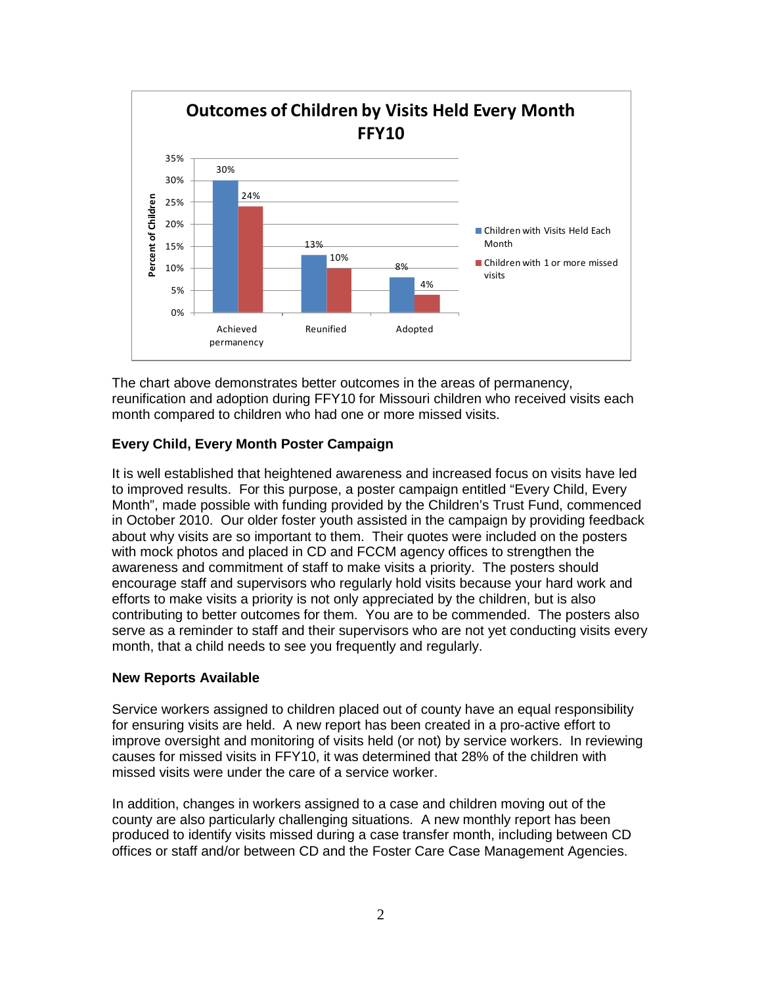

The chart above demonstrates better outcomes in the areas of permanency, reunification and adoption during FFY10 for Missouri children who received visits each month compared to children who had one or more missed visits.

### **Every Child, Every Month Poster Campaign**

It is well established that heightened awareness and increased focus on visits have led to improved results. For this purpose, a poster campaign entitled "Every Child, Every Month", made possible with funding provided by the Children's Trust Fund, commenced in October 2010. Our older foster youth assisted in the campaign by providing feedback about why visits are so important to them. Their quotes were included on the posters with mock photos and placed in CD and FCCM agency offices to strengthen the awareness and commitment of staff to make visits a priority. The posters should encourage staff and supervisors who regularly hold visits because your hard work and efforts to make visits a priority is not only appreciated by the children, but is also contributing to better outcomes for them. You are to be commended. The posters also serve as a reminder to staff and their supervisors who are not yet conducting visits every month, that a child needs to see you frequently and regularly.

#### **New Reports Available**

Service workers assigned to children placed out of county have an equal responsibility for ensuring visits are held. A new report has been created in a pro-active effort to improve oversight and monitoring of visits held (or not) by service workers. In reviewing causes for missed visits in FFY10, it was determined that 28% of the children with missed visits were under the care of a service worker.

In addition, changes in workers assigned to a case and children moving out of the county are also particularly challenging situations. A new monthly report has been produced to identify visits missed during a case transfer month, including between CD offices or staff and/or between CD and the Foster Care Case Management Agencies.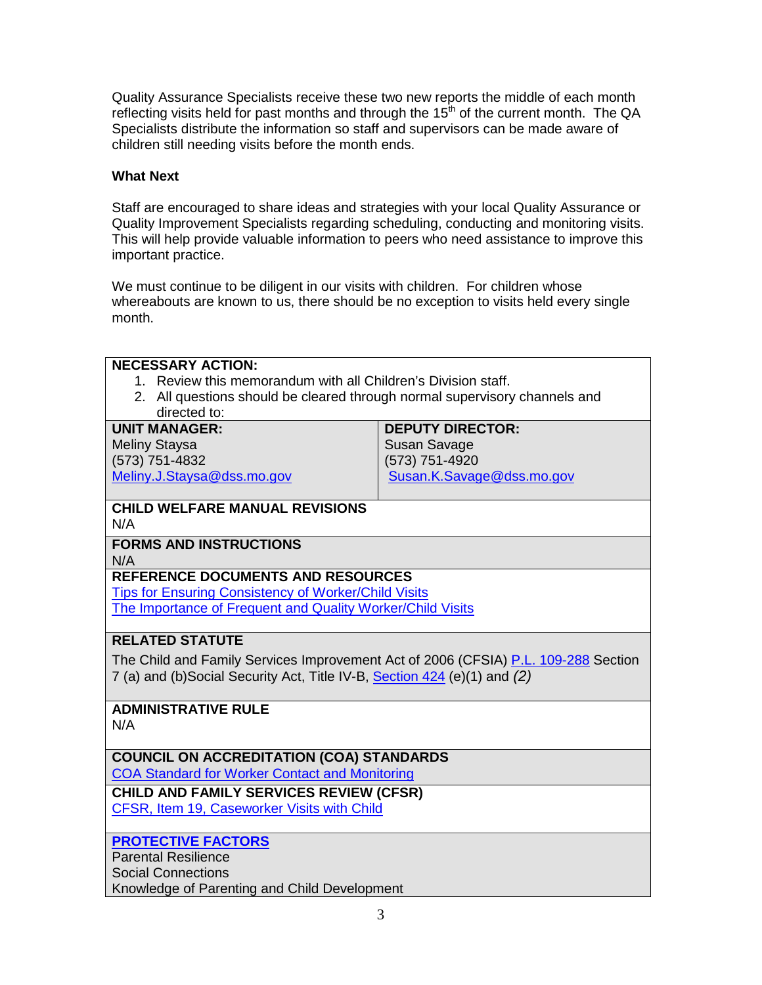Quality Assurance Specialists receive these two new reports the middle of each month reflecting visits held for past months and through the  $15<sup>th</sup>$  of the current month. The QA Specialists distribute the information so staff and supervisors can be made aware of children still needing visits before the month ends.

#### **What Next**

Staff are encouraged to share ideas and strategies with your local Quality Assurance or Quality Improvement Specialists regarding scheduling, conducting and monitoring visits. This will help provide valuable information to peers who need assistance to improve this important practice.

We must continue to be diligent in our visits with children. For children whose whereabouts are known to us, there should be no exception to visits held every single month.

| <b>NECESSARY ACTION:</b>                                                                   |                           |
|--------------------------------------------------------------------------------------------|---------------------------|
| 1. Review this memorandum with all Children's Division staff.                              |                           |
|                                                                                            |                           |
| 2. All questions should be cleared through normal supervisory channels and<br>directed to: |                           |
| <b>UNIT MANAGER:</b><br><b>DEPUTY DIRECTOR:</b>                                            |                           |
|                                                                                            |                           |
| <b>Meliny Staysa</b>                                                                       | <b>Susan Savage</b>       |
| (573) 751-4832                                                                             | (573) 751-4920            |
| Meliny.J.Staysa@dss.mo.gov                                                                 | Susan.K.Savage@dss.mo.gov |
| <b>CHILD WELFARE MANUAL REVISIONS</b>                                                      |                           |
| N/A                                                                                        |                           |
| <b>FORMS AND INSTRUCTIONS</b>                                                              |                           |
| N/A                                                                                        |                           |
| <b>REFERENCE DOCUMENTS AND RESOURCES</b>                                                   |                           |
| <b>Tips for Ensuring Consistency of Worker/Child Visits</b>                                |                           |
| The Importance of Frequent and Quality Worker/Child Visits                                 |                           |
| <b>RELATED STATUTE</b>                                                                     |                           |
| The Child and Family Services Improvement Act of 2006 (CFSIA) P.L. 109-288 Section         |                           |
| 7 (a) and (b)Social Security Act, Title IV-B, Section 424 (e)(1) and (2)                   |                           |
|                                                                                            |                           |
| <b>ADMINISTRATIVE RULE</b>                                                                 |                           |
| N/A                                                                                        |                           |
|                                                                                            |                           |
| <b>COUNCIL ON ACCREDITATION (COA) STANDARDS</b>                                            |                           |
| <b>COA Standard for Worker Contact and Monitoring</b>                                      |                           |
| <b>CHILD AND FAMILY SERVICES REVIEW (CFSR)</b>                                             |                           |
| CFSR, Item 19, Caseworker Visits with Child                                                |                           |
|                                                                                            |                           |
| <b>PROTECTIVE FACTORS</b>                                                                  |                           |
| <b>Parental Resilience</b>                                                                 |                           |
| <b>Social Connections</b>                                                                  |                           |
| Knowledge of Parenting and Child Development                                               |                           |